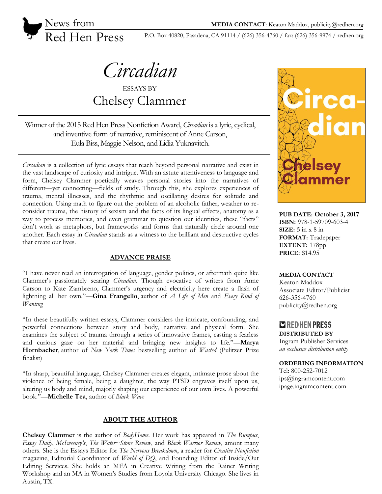

P.O. Box 40820, Pasadena, CA 91114 / (626) 356-4760 / fax: (626) 356-9974 / redhen.org

*Circadian*

ESSAYS BY Chelsey Clammer

Winner of the 2015 Red Hen Press Nonfiction Award, *Circadian* is a lyric, cyclical, and inventive form of narrative, reminiscent of Anne Carson, Eula Biss, Maggie Nelson, and Lidia Yuknavitch.

*Circadian* is a collection of lyric essays that reach beyond personal narrative and exist in the vast landscape of curiosity and intrigue. With an astute attentiveness to language and form, Chelsey Clammer poetically weaves personal stories into the narratives of different—yet connecting—fields of study. Through this, she explores experiences of trauma, mental illnesses, and the rhythmic and oscillating desires for solitude and connection. Using math to figure out the problem of an alcoholic father, weather to reconsider trauma, the history of sexism and the facts of its lingual effects, anatomy as a way to process memories, and even grammar to question our identities, these "facts" don't work as metaphors, but frameworks and forms that naturally circle around one another. Each essay in *Circadian* stands as a witness to the brilliant and destructive cycles that create our lives.

#### **ADVANCE PRAISE**

"I have never read an interrogation of language, gender politics, or aftermath quite like Clammer's passionately searing *Circadian*. Though evocative of writers from Anne Carson to Kate Zambreno, Clammer's urgency and electricity here create a flash of lightning all her own."—**Gina Frangello**, author of *A Life of Men* and *Every Kind of Wanting*

"In these beautifully written essays, Clammer considers the intricate, confounding, and powerful connections between story and body, narrative and physical form. She examines the subject of trauma through a series of innovative frames, casting a fearless and curious gaze on her material and bringing new insights to life."—**Marya Hornbacher**, author of *New York Times* bestselling author of *Wasted* (Pulitzer Prize finalist)

"In sharp, beautiful language, Chelsey Clammer creates elegant, intimate prose about the violence of being female, being a daughter, the way PTSD engraves itself upon us, altering us body and mind, majorly shaping our experience of our own lives. A powerful book."—**Michelle Tea**, author of *Black Wave*

#### **ABOUT THE AUTHOR**

**Chelsey Clammer** is the author of *BodyHome*. Her work has appeared in *The Rumpus*, *Essay Daily*, *McSweeney's*, *The Water~Stone Review*, and *Black Warrior Review*, amont many others. She is the Essays Editor for *The Nervous Breakdown*, a reader for *Creative Nonfiction* magazine, Editorial Coordinator of *World of DQ*, and Founding Editor of Inside/Out Editing Services. She holds an MFA in Creative Writing from the Rainer Writing Workshop and an MA in Women's Studies from Loyola University Chicago. She lives in Austin, TX.



**PUB DATE: October 3, 2017 ISBN:** 978-1-59709-603-4 **SIZE:** 5 in x 8 in **FORMAT:** Tradepaper **EXTENT:** 178pp **PRICE:** \$14.95

### **MEDIA CONTACT**

Keaton Maddox Associate Editor/Publicist 626-356-4760 publicity@redhen.org

**EXPLOSIVE RESS DISTRIBUTED BY** Ingram Publisher Services

*an exclusive distribution entity*

# **ORDERING INFORMATION**

Tel: 800-252-7012 ips@ingramcontent.com ipage.ingramcontent.com